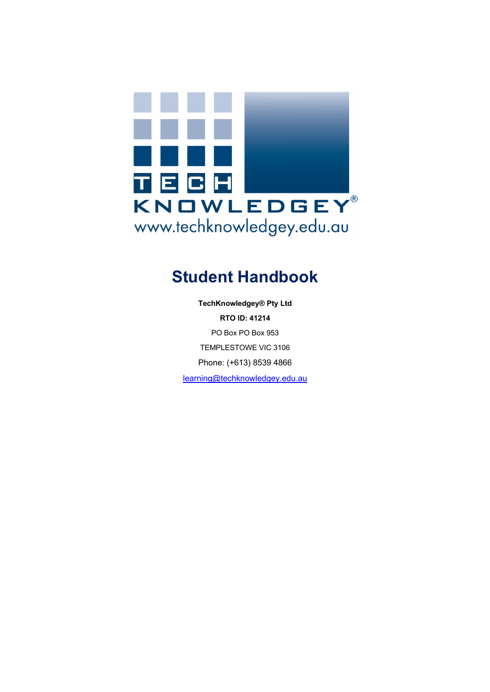

# **Student Handbook**

**TechKnowledgey® Pty Ltd RTO ID: 41214** PO Box PO Box 953 TEMPLESTOWE VIC 3106 Phone: (+613) 8539 4866 learning@techknowledgey.edu.au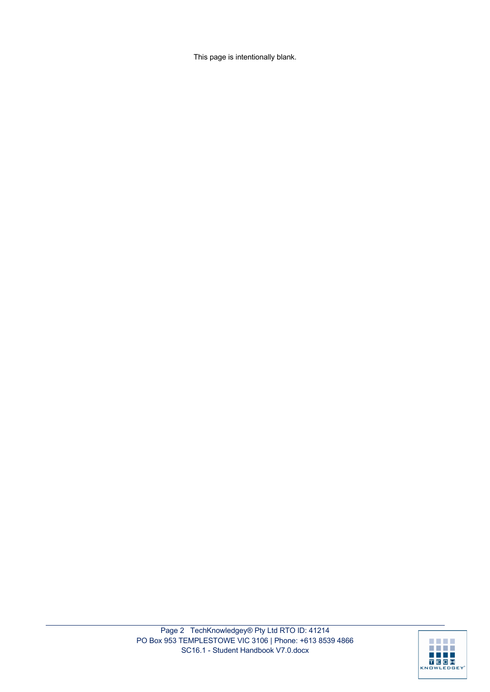This page is intentionally blank.

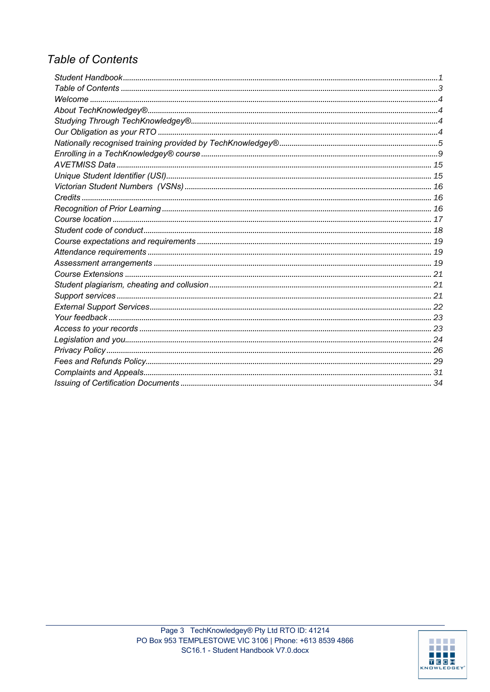# **Table of Contents**

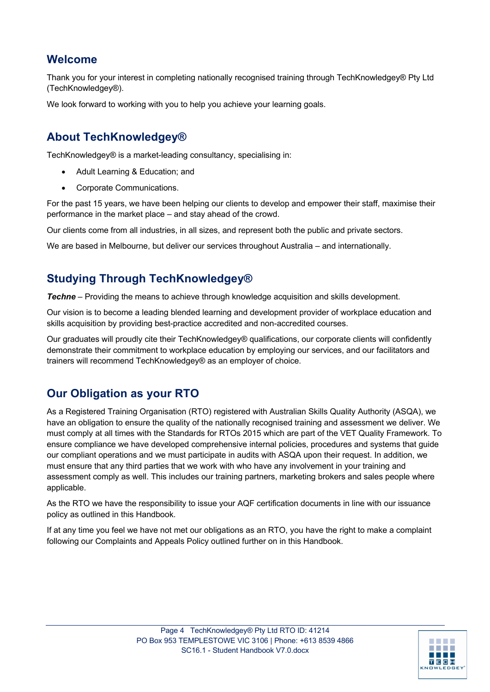# **Welcome**

Thank you for your interest in completing nationally recognised training through TechKnowledgey® Pty Ltd (TechKnowledgey®).

We look forward to working with you to help you achieve your learning goals.

# **About TechKnowledgey®**

TechKnowledgey® is a market-leading consultancy, specialising in:

- Adult Learning & Education; and
- Corporate Communications.

For the past 15 years, we have been helping our clients to develop and empower their staff, maximise their performance in the market place – and stay ahead of the crowd.

Our clients come from all industries, in all sizes, and represent both the public and private sectors.

We are based in Melbourne, but deliver our services throughout Australia – and internationally.

# **Studying Through TechKnowledgey®**

*Techne* – Providing the means to achieve through knowledge acquisition and skills development.

Our vision is to become a leading blended learning and development provider of workplace education and skills acquisition by providing best-practice accredited and non-accredited courses.

Our graduates will proudly cite their TechKnowledgey® qualifications, our corporate clients will confidently demonstrate their commitment to workplace education by employing our services, and our facilitators and trainers will recommend TechKnowledgey® as an employer of choice.

# **Our Obligation as your RTO**

As a Registered Training Organisation (RTO) registered with Australian Skills Quality Authority (ASQA), we have an obligation to ensure the quality of the nationally recognised training and assessment we deliver. We must comply at all times with the Standards for RTOs 2015 which are part of the VET Quality Framework. To ensure compliance we have developed comprehensive internal policies, procedures and systems that guide our compliant operations and we must participate in audits with ASQA upon their request. In addition, we must ensure that any third parties that we work with who have any involvement in your training and assessment comply as well. This includes our training partners, marketing brokers and sales people where applicable.

As the RTO we have the responsibility to issue your AQF certification documents in line with our issuance policy as outlined in this Handbook.

If at any time you feel we have not met our obligations as an RTO, you have the right to make a complaint following our Complaints and Appeals Policy outlined further on in this Handbook.

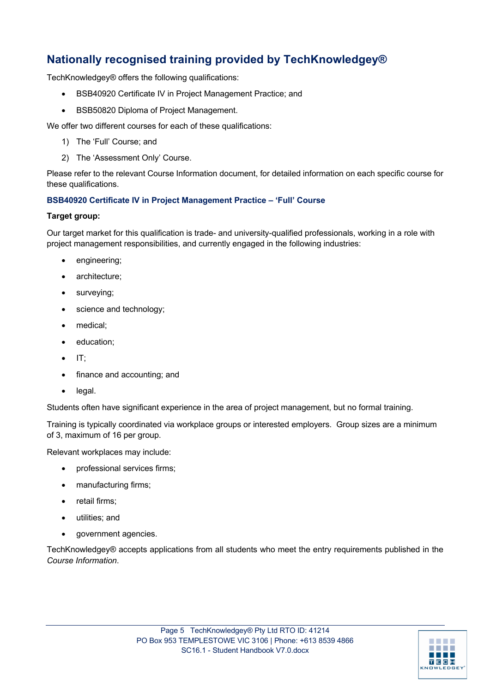# **Nationally recognised training provided by TechKnowledgey®**

TechKnowledgey® offers the following qualifications:

- BSB40920 Certificate IV in Project Management Practice; and
- BSB50820 Diploma of Project Management.

We offer two different courses for each of these qualifications:

- 1) The 'Full' Course; and
- 2) The 'Assessment Only' Course.

Please refer to the relevant Course Information document, for detailed information on each specific course for these qualifications.

#### **BSB40920 Certificate IV in Project Management Practice – 'Full' Course**

#### **Target group:**

Our target market for this qualification is trade- and university-qualified professionals, working in a role with project management responsibilities, and currently engaged in the following industries:

- engineering;
- architecture:
- surveying;
- science and technology;
- medical;
- education;
- $\bullet$  IT:
- finance and accounting; and
- legal.

Students often have significant experience in the area of project management, but no formal training.

Training is typically coordinated via workplace groups or interested employers. Group sizes are a minimum of 3, maximum of 16 per group.

Relevant workplaces may include:

- professional services firms;
- manufacturing firms;
- retail firms;
- utilities; and
- government agencies.

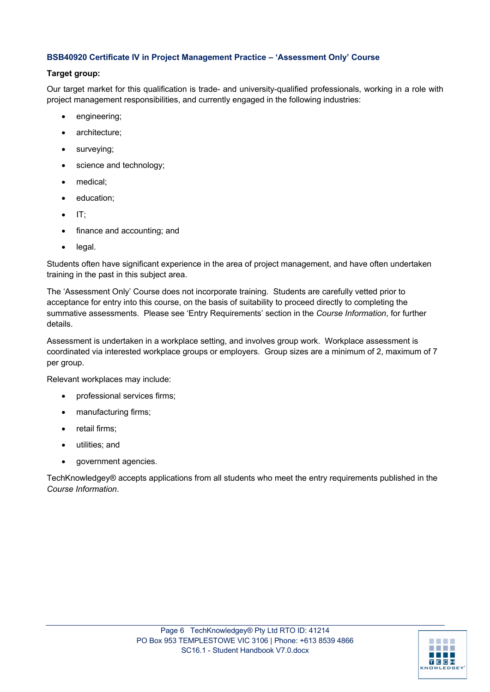#### **BSB40920 Certificate IV in Project Management Practice – 'Assessment Only' Course**

#### **Target group:**

Our target market for this qualification is trade- and university-qualified professionals, working in a role with project management responsibilities, and currently engaged in the following industries:

- engineering;
- architecture;
- surveying;
- science and technology;
- medical;
- education;
- $\bullet$  IT:
- finance and accounting; and
- legal.

Students often have significant experience in the area of project management, and have often undertaken training in the past in this subject area.

The 'Assessment Only' Course does not incorporate training. Students are carefully vetted prior to acceptance for entry into this course, on the basis of suitability to proceed directly to completing the summative assessments. Please see 'Entry Requirements' section in the *Course Information*, for further details.

Assessment is undertaken in a workplace setting, and involves group work. Workplace assessment is coordinated via interested workplace groups or employers. Group sizes are a minimum of 2, maximum of 7 per group.

Relevant workplaces may include:

- professional services firms;
- manufacturing firms;
- retail firms;
- utilities; and
- government agencies.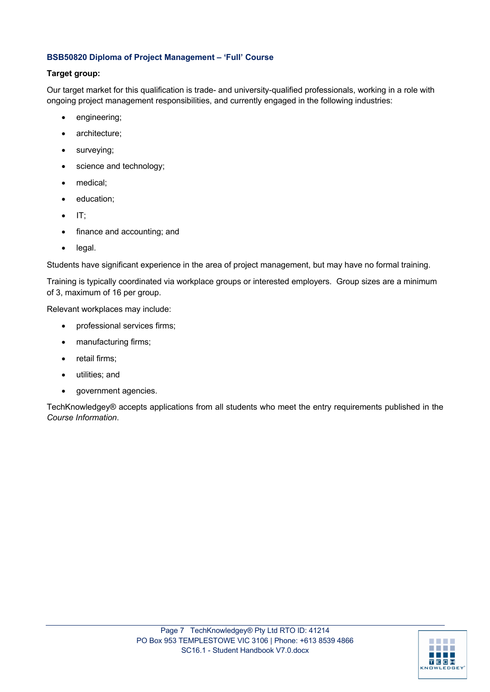### **BSB50820 Diploma of Project Management – 'Full' Course**

### **Target group:**

Our target market for this qualification is trade- and university-qualified professionals, working in a role with ongoing project management responsibilities, and currently engaged in the following industries:

- engineering;
- architecture;
- surveying;
- science and technology;
- medical;
- education;
- $\bullet$  IT:
- finance and accounting; and
- legal.

Students have significant experience in the area of project management, but may have no formal training.

Training is typically coordinated via workplace groups or interested employers. Group sizes are a minimum of 3, maximum of 16 per group.

Relevant workplaces may include:

- professional services firms;
- manufacturing firms;
- retail firms;
- utilities; and
- government agencies.

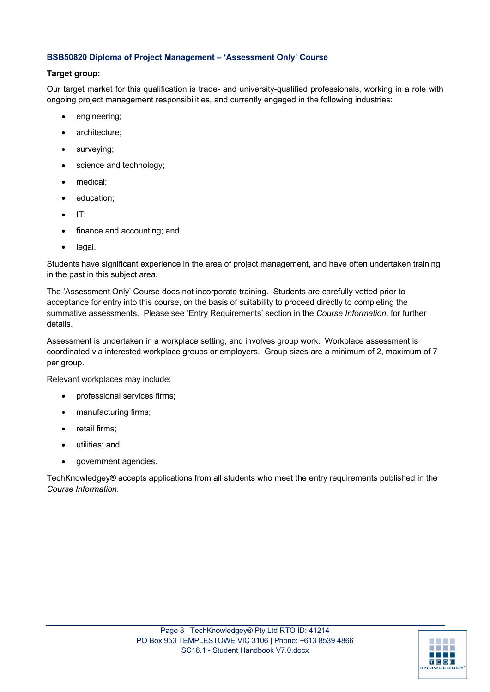#### **BSB50820 Diploma of Project Management – 'Assessment Only' Course**

#### **Target group:**

Our target market for this qualification is trade- and university-qualified professionals, working in a role with ongoing project management responsibilities, and currently engaged in the following industries:

- engineering;
- architecture;
- surveying;
- science and technology;
- medical;
- education;
- $\bullet$  IT:
- finance and accounting; and
- legal.

Students have significant experience in the area of project management, and have often undertaken training in the past in this subject area.

The 'Assessment Only' Course does not incorporate training. Students are carefully vetted prior to acceptance for entry into this course, on the basis of suitability to proceed directly to completing the summative assessments. Please see 'Entry Requirements' section in the *Course Information*, for further details.

Assessment is undertaken in a workplace setting, and involves group work. Workplace assessment is coordinated via interested workplace groups or employers. Group sizes are a minimum of 2, maximum of 7 per group.

Relevant workplaces may include:

- professional services firms;
- manufacturing firms;
- retail firms;
- utilities; and
- government agencies.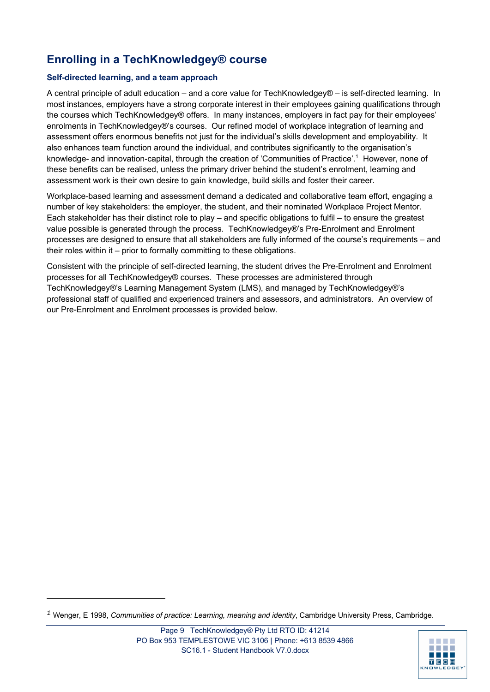# **Enrolling in a TechKnowledgey® course**

#### **Self-directed learning, and a team approach**

A central principle of adult education – and a core value for TechKnowledgey® – is self-directed learning. In most instances, employers have a strong corporate interest in their employees gaining qualifications through the courses which TechKnowledgey® offers. In many instances, employers in fact pay for their employees' enrolments in TechKnowledgey®'s courses. Our refined model of workplace integration of learning and assessment offers enormous benefits not just for the individual's skills development and employability. It also enhances team function around the individual, and contributes significantly to the organisation's knowledge- and innovation-capital, through the creation of 'Communities of Practice'. <sup>1</sup> However, none of these benefits can be realised, unless the primary driver behind the student's enrolment, learning and assessment work is their own desire to gain knowledge, build skills and foster their career.

Workplace-based learning and assessment demand a dedicated and collaborative team effort, engaging a number of key stakeholders: the employer, the student, and their nominated Workplace Project Mentor. Each stakeholder has their distinct role to play – and specific obligations to fulfil – to ensure the greatest value possible is generated through the process. TechKnowledgey®'s Pre-Enrolment and Enrolment processes are designed to ensure that all stakeholders are fully informed of the course's requirements – and their roles within it – prior to formally committing to these obligations.

Consistent with the principle of self-directed learning, the student drives the Pre-Enrolment and Enrolment processes for all TechKnowledgey® courses. These processes are administered through TechKnowledgey®'s Learning Management System (LMS), and managed by TechKnowledgey®'s professional staff of qualified and experienced trainers and assessors, and administrators. An overview of our Pre-Enrolment and Enrolment processes is provided below.



*<sup>1</sup>* Wenger, E 1998, *Communities of practice: Learning, meaning and identity*, Cambridge University Press, Cambridge.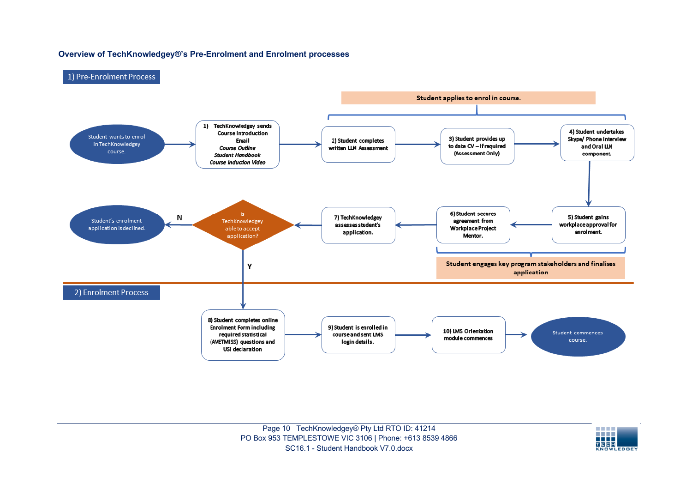#### **Overview of TechKnowledgey®'s Pre-Enrolment and Enrolment processes**



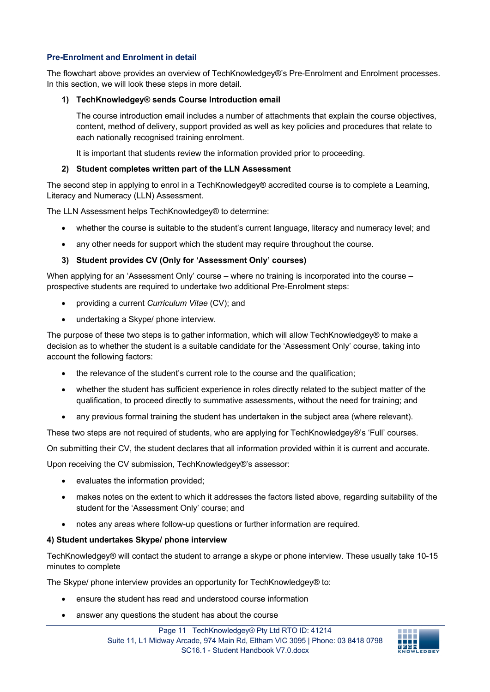### **Pre-Enrolment and Enrolment in detail**

The flowchart above provides an overview of TechKnowledgey®'s Pre-Enrolment and Enrolment processes. In this section, we will look these steps in more detail.

### **1) TechKnowledgey® sends Course Introduction email**

The course introduction email includes a number of attachments that explain the course objectives, content, method of delivery, support provided as well as key policies and procedures that relate to each nationally recognised training enrolment.

It is important that students review the information provided prior to proceeding.

#### **2) Student completes written part of the LLN Assessment**

The second step in applying to enrol in a TechKnowledgey® accredited course is to complete a Learning, Literacy and Numeracy (LLN) Assessment.

The LLN Assessment helps TechKnowledgey® to determine:

- whether the course is suitable to the student's current language, literacy and numeracy level; and
- any other needs for support which the student may require throughout the course.

### **3) Student provides CV (Only for 'Assessment Only' courses)**

When applying for an 'Assessment Only' course – where no training is incorporated into the course – prospective students are required to undertake two additional Pre-Enrolment steps:

- providing a current *Curriculum Vitae* (CV); and
- undertaking a Skype/ phone interview.

The purpose of these two steps is to gather information, which will allow TechKnowledgey® to make a decision as to whether the student is a suitable candidate for the 'Assessment Only' course, taking into account the following factors:

- the relevance of the student's current role to the course and the qualification;
- whether the student has sufficient experience in roles directly related to the subject matter of the qualification, to proceed directly to summative assessments, without the need for training; and
- any previous formal training the student has undertaken in the subject area (where relevant).

These two steps are not required of students, who are applying for TechKnowledgey®'s 'Full' courses.

On submitting their CV, the student declares that all information provided within it is current and accurate.

Upon receiving the CV submission, TechKnowledgey®'s assessor:

- evaluates the information provided;
- makes notes on the extent to which it addresses the factors listed above, regarding suitability of the student for the 'Assessment Only' course; and
- notes any areas where follow-up questions or further information are required.

#### **4) Student undertakes Skype/ phone interview**

TechKnowledgey® will contact the student to arrange a skype or phone interview. These usually take 10-15 minutes to complete

The Skype/ phone interview provides an opportunity for TechKnowledgey® to:

- ensure the student has read and understood course information
- answer any questions the student has about the course

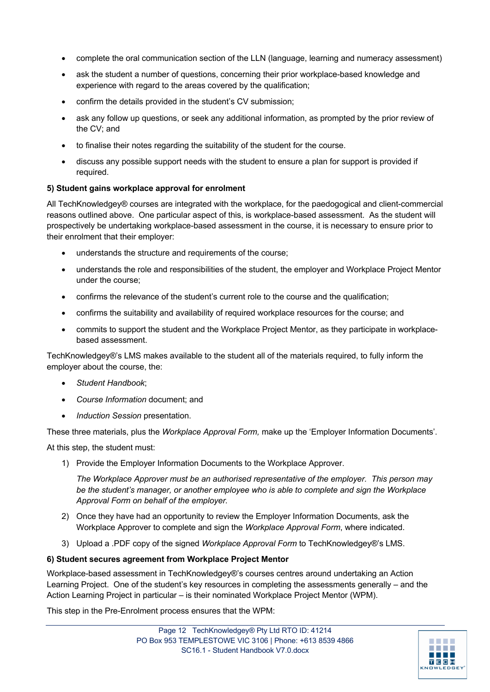- complete the oral communication section of the LLN (language, learning and numeracy assessment)
- ask the student a number of questions, concerning their prior workplace-based knowledge and experience with regard to the areas covered by the qualification;
- confirm the details provided in the student's CV submission;
- ask any follow up questions, or seek any additional information, as prompted by the prior review of the CV; and
- to finalise their notes regarding the suitability of the student for the course.
- discuss any possible support needs with the student to ensure a plan for support is provided if required.

### **5) Student gains workplace approval for enrolment**

All TechKnowledgey® courses are integrated with the workplace, for the paedogogical and client-commercial reasons outlined above. One particular aspect of this, is workplace-based assessment. As the student will prospectively be undertaking workplace-based assessment in the course, it is necessary to ensure prior to their enrolment that their employer:

- understands the structure and requirements of the course;
- understands the role and responsibilities of the student, the employer and Workplace Project Mentor under the course;
- confirms the relevance of the student's current role to the course and the qualification;
- confirms the suitability and availability of required workplace resources for the course; and
- commits to support the student and the Workplace Project Mentor, as they participate in workplacebased assessment.

TechKnowledgey®'s LMS makes available to the student all of the materials required, to fully inform the employer about the course, the:

- *Student Handbook*;
- *Course Information* document; and
- *Induction Session* presentation.

These three materials, plus the *Workplace Approval Form,* make up the 'Employer Information Documents'.

At this step, the student must:

1) Provide the Employer Information Documents to the Workplace Approver.

*The Workplace Approver must be an authorised representative of the employer. This person may be the student's manager, or another employee who is able to complete and sign the Workplace Approval Form on behalf of the employer.*

- 2) Once they have had an opportunity to review the Employer Information Documents, ask the Workplace Approver to complete and sign the *Workplace Approval Form*, where indicated.
- 3) Upload a .PDF copy of the signed *Workplace Approval Form* to TechKnowledgey®'s LMS.

### **6) Student secures agreement from Workplace Project Mentor**

Workplace-based assessment in TechKnowledgey®'s courses centres around undertaking an Action Learning Project. One of the student's key resources in completing the assessments generally – and the Action Learning Project in particular – is their nominated Workplace Project Mentor (WPM).

This step in the Pre-Enrolment process ensures that the WPM:

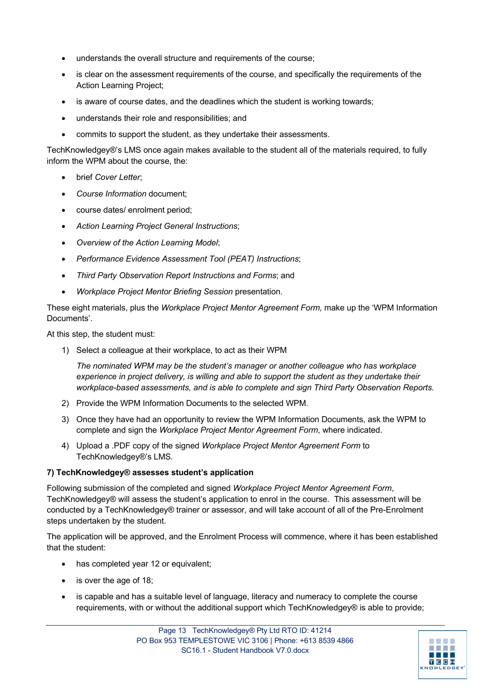- understands the overall structure and requirements of the course;
- is clear on the assessment requirements of the course, and specifically the requirements of the Action Learning Project;
- is aware of course dates, and the deadlines which the student is working towards;
- understands their role and responsibilities; and
- commits to support the student, as they undertake their assessments.

TechKnowledgey®'s LMS once again makes available to the student all of the materials required, to fully inform the WPM about the course, the:

- brief *Cover Letter*;
- *Course Information* document;
- course dates/ enrolment period;
- *Action Learning Project General Instructions*;
- *Overview of the Action Learning Model*;
- *Performance Evidence Assessment Tool (PEAT) Instructions*;
- *Third Party Observation Report Instructions and Forms*; and
- *Workplace Project Mentor Briefing Session* presentation.

These eight materials, plus the *Workplace Project Mentor Agreement Form,* make up the 'WPM Information Documents'.

At this step, the student must:

1) Select a colleague at their workplace, to act as their WPM

*The nominated WPM may be the student's manager or another colleague who has workplace*  experience in project delivery, is willing and able to support the student as they undertake their *workplace-based assessments, and is able to complete and sign Third Party Observation Reports.*

- 2) Provide the WPM Information Documents to the selected WPM.
- 3) Once they have had an opportunity to review the WPM Information Documents, ask the WPM to complete and sign the *Workplace Project Mentor Agreement Form*, where indicated.
- 4) Upload a .PDF copy of the signed *Workplace Project Mentor Agreement Form* to TechKnowledgey®'s LMS.

### **7) TechKnowledgey® assesses student's application**

Following submission of the completed and signed *Workplace Project Mentor Agreement Form*, TechKnowledgey® will assess the student's application to enrol in the course. This assessment will be conducted by a TechKnowledgey® trainer or assessor, and will take account of all of the Pre-Enrolment steps undertaken by the student.

The application will be approved, and the Enrolment Process will commence, where it has been established that the student:

- has completed year 12 or equivalent;
- is over the age of 18;
- is capable and has a suitable level of language, literacy and numeracy to complete the course requirements, with or without the additional support which TechKnowledgey® is able to provide;

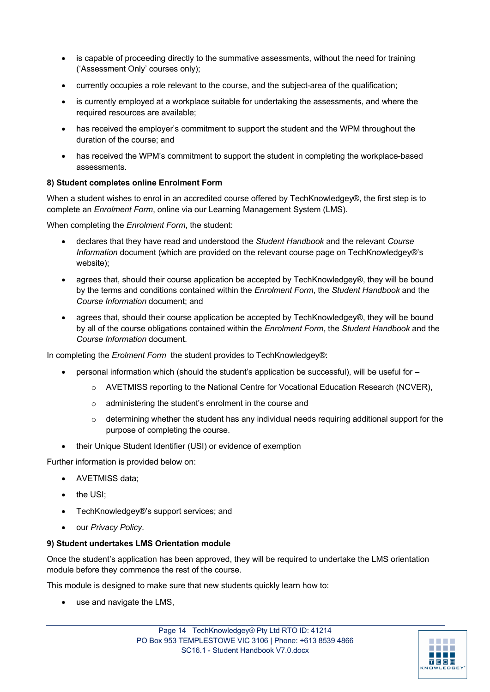- is capable of proceeding directly to the summative assessments, without the need for training ('Assessment Only' courses only);
- currently occupies a role relevant to the course, and the subject-area of the qualification;
- is currently employed at a workplace suitable for undertaking the assessments, and where the required resources are available;
- has received the employer's commitment to support the student and the WPM throughout the duration of the course; and
- has received the WPM's commitment to support the student in completing the workplace-based assessments.

#### **8) Student completes online Enrolment Form**

When a student wishes to enrol in an accredited course offered by TechKnowledgey®, the first step is to complete an *Enrolment Form*, online via our Learning Management System (LMS).

When completing the *Enrolment Form*, the student:

- declares that they have read and understood the *Student Handbook* and the relevant *Course Information* document (which are provided on the relevant course page on TechKnowledgey®'s website);
- agrees that, should their course application be accepted by TechKnowledgey®, they will be bound by the terms and conditions contained within the *Enrolment Form*, the *Student Handbook* and the *Course Information* document; and
- agrees that, should their course application be accepted by TechKnowledgey®, they will be bound by all of the course obligations contained within the *Enrolment Form*, the *Student Handbook* and the *Course Information* document.

In completing the *Erolment Form* the student provides to TechKnowledgey®:

- personal information which (should the student's application be successful), will be useful for
	- o AVETMISS reporting to the National Centre for Vocational Education Research (NCVER),
	- o administering the student's enrolment in the course and
	- $\circ$  determining whether the student has any individual needs requiring additional support for the purpose of completing the course.
- their Unique Student Identifier (USI) or evidence of exemption

Further information is provided below on:

- AVETMISS data;
- the USI:
- TechKnowledgey®'s support services; and
- our *Privacy Policy*.

#### **9) Student undertakes LMS Orientation module**

Once the student's application has been approved, they will be required to undertake the LMS orientation module before they commence the rest of the course.

This module is designed to make sure that new students quickly learn how to:

use and navigate the LMS,

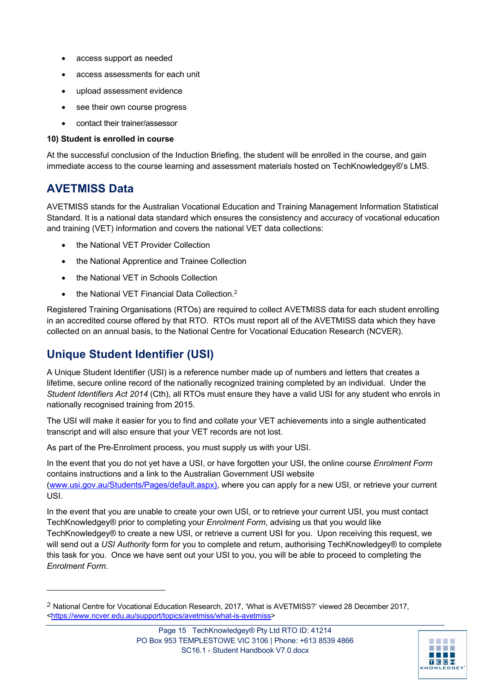- access support as needed
- access assessments for each unit
- upload assessment evidence
- see their own course progress
- contact their trainer/assessor

#### **10) Student is enrolled in course**

At the successful conclusion of the Induction Briefing, the student will be enrolled in the course, and gain immediate access to the course learning and assessment materials hosted on TechKnowledgey®'s LMS.

# **AVETMISS Data**

AVETMISS stands for the Australian Vocational Education and Training Management Information Statistical Standard. It is a national data standard which ensures the consistency and accuracy of vocational education and training (VET) information and covers the national VET data collections:

- the National VET Provider Collection
- the National Apprentice and Trainee Collection
- the National VET in Schools Collection
- the National VET Financial Data Collection.<sup>2</sup>

Registered Training Organisations (RTOs) are required to collect AVETMISS data for each student enrolling in an accredited course offered by that RTO. RTOs must report all of the AVETMISS data which they have collected on an annual basis, to the National Centre for Vocational Education Research (NCVER).

# **Unique Student Identifier (USI)**

A Unique Student Identifier (USI) is a reference number made up of numbers and letters that creates a lifetime, secure online record of the nationally recognized training completed by an individual. Under the *Student Identifiers Act 2014* (Cth), all RTOs must ensure they have a valid USI for any student who enrols in nationally recognised training from 2015.

The USI will make it easier for you to find and collate your VET achievements into a single authenticated transcript and will also ensure that your VET records are not lost.

As part of the Pre-Enrolment process, you must supply us with your USI.

In the event that you do not yet have a USI, or have forgotten your USI, the online course *Enrolment Form* contains instructions and a link to the Australian Government USI website (www.usi.gov.au/Students/Pages/default.aspx), where you can apply for a new USI, or retrieve your current USI.

In the event that you are unable to create your own USI, or to retrieve your current USI, you must contact TechKnowledgey® prior to completing your *Enrolment Form*, advising us that you would like TechKnowledgey® to create a new USI, or retrieve a current USI for you. Upon receiving this request, we will send out a *USI Authority* form for you to complete and return, authorising TechKnowledgey® to complete this task for you. Once we have sent out your USI to you, you will be able to proceed to completing the *Enrolment Form*.



*<sup>2</sup>* National Centre for Vocational Education Research, 2017, 'What is AVETMISS?' viewed 28 December 2017, <https://www.ncver.edu.au/support/topics/avetmiss/what-is-avetmiss>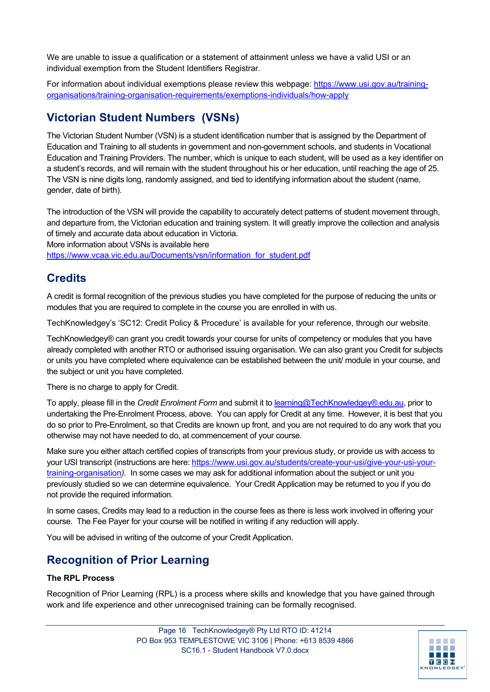We are unable to issue a qualification or a statement of attainment unless we have a valid USI or an individual exemption from the Student Identifiers Registrar.

For information about individual exemptions please review this webpage: https://www.usi.gov.au/trainingorganisations/training-organisation-requirements/exemptions-individuals/how-apply

# **Victorian Student Numbers (VSNs)**

The Victorian Student Number (VSN) is a student identification number that is assigned by the Department of Education and Training to all students in government and non-government schools, and students in Vocational Education and Training Providers. The number, which is unique to each student, will be used as a key identifier on a student's records, and will remain with the student throughout his or her education, until reaching the age of 25. The VSN is nine digits long, randomly assigned, and tied to identifying information about the student (name, gender, date of birth).

The introduction of the VSN will provide the capability to accurately detect patterns of student movement through, and departure from, the Victorian education and training system. It will greatly improve the collection and analysis of timely and accurate data about education in Victoria.

More information about VSNs is available here

https://www.vcaa.vic.edu.au/Documents/vsn/information\_for\_student.pdf

# **Credits**

A credit is formal recognition of the previous studies you have completed for the purpose of reducing the units or modules that you are required to complete in the course you are enrolled in with us.

TechKnowledgey's 'SC12: Credit Policy & Procedure' is available for your reference, through our website.

TechKnowledgey® can grant you credit towards your course for units of competency or modules that you have already completed with another RTO or authorised issuing organisation. We can also grant you Credit for subjects or units you have completed where equivalence can be established between the unit/ module in your course, and the subject or unit you have completed.

There is no charge to apply for Credit.

To apply, please fill in the *Credit Enrolment Form* and submit it to learning@TechKnowledgey®.edu.au, prior to undertaking the Pre-Enrolment Process, above. You can apply for Credit at any time. However, it is best that you do so prior to Pre-Enrolment, so that Credits are known up front, and you are not required to do any work that you otherwise may not have needed to do, at commencement of your course.

Make sure you either attach certified copies of transcripts from your previous study, or provide us with access to your USI transcript (instructions are here: https://www.usi.gov.au/students/create-your-usi/give-your-usi-yourtraining-organisation*).* In some cases we may ask for additional information about the subject or unit you previously studied so we can determine equivalence. Your Credit Application may be returned to you if you do not provide the required information.

In some cases, Credits may lead to a reduction in the course fees as there is less work involved in offering your course. The Fee Payer for your course will be notified in writing if any reduction will apply.

You will be advised in writing of the outcome of your Credit Application.

# **Recognition of Prior Learning**

### **The RPL Process**

Recognition of Prior Learning (RPL) is a process where skills and knowledge that you have gained through work and life experience and other unrecognised training can be formally recognised.

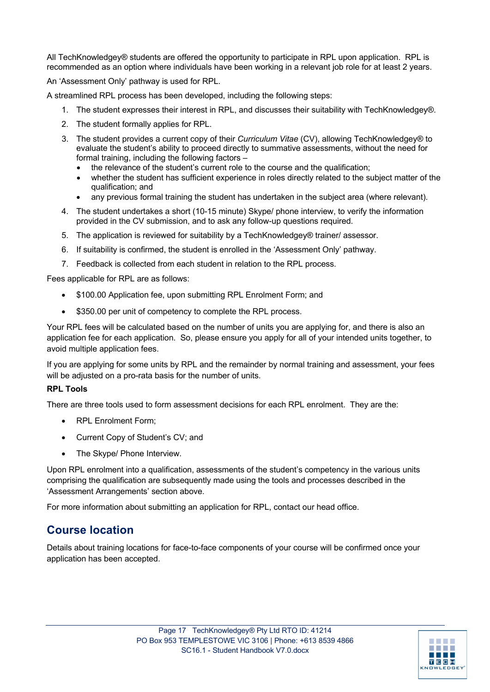All TechKnowledgey® students are offered the opportunity to participate in RPL upon application. RPL is recommended as an option where individuals have been working in a relevant job role for at least 2 years.

An 'Assessment Only' pathway is used for RPL.

A streamlined RPL process has been developed, including the following steps:

- 1. The student expresses their interest in RPL, and discusses their suitability with TechKnowledgey®.
- 2. The student formally applies for RPL.
- 3. The student provides a current copy of their *Curriculum Vitae* (CV), allowing TechKnowledgey® to evaluate the student's ability to proceed directly to summative assessments, without the need for formal training, including the following factors –
	- the relevance of the student's current role to the course and the qualification;
	- whether the student has sufficient experience in roles directly related to the subject matter of the qualification; and
	- any previous formal training the student has undertaken in the subject area (where relevant).
- 4. The student undertakes a short (10-15 minute) Skype/ phone interview, to verify the information provided in the CV submission, and to ask any follow-up questions required.
- 5. The application is reviewed for suitability by a TechKnowledgey® trainer/ assessor.
- 6. If suitability is confirmed, the student is enrolled in the 'Assessment Only' pathway.
- 7. Feedback is collected from each student in relation to the RPL process.

Fees applicable for RPL are as follows:

- \$100.00 Application fee, upon submitting RPL Enrolment Form; and
- \$350.00 per unit of competency to complete the RPL process.

Your RPL fees will be calculated based on the number of units you are applying for, and there is also an application fee for each application. So, please ensure you apply for all of your intended units together, to avoid multiple application fees.

If you are applying for some units by RPL and the remainder by normal training and assessment, your fees will be adjusted on a pro-rata basis for the number of units.

#### **RPL Tools**

There are three tools used to form assessment decisions for each RPL enrolment. They are the:

- RPL Enrolment Form;
- Current Copy of Student's CV; and
- The Skype/ Phone Interview.

Upon RPL enrolment into a qualification, assessments of the student's competency in the various units comprising the qualification are subsequently made using the tools and processes described in the 'Assessment Arrangements' section above.

For more information about submitting an application for RPL, conta*c*t our head office.

## **Course location**

Details about training locations for face-to-face components of your course will be confirmed once your application has been accepted.

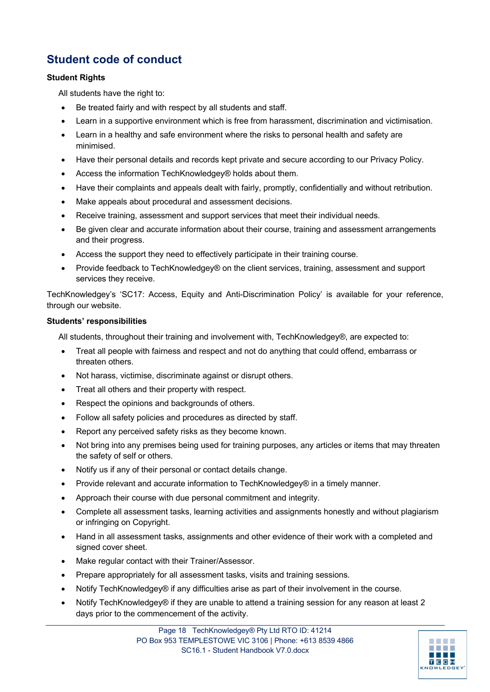# **Student code of conduct**

### **Student Rights**

All students have the right to:

- Be treated fairly and with respect by all students and staff.
- Learn in a supportive environment which is free from harassment, discrimination and victimisation.
- Learn in a healthy and safe environment where the risks to personal health and safety are minimised.
- Have their personal details and records kept private and secure according to our Privacy Policy.
- Access the information TechKnowledgey® holds about them.
- Have their complaints and appeals dealt with fairly, promptly, confidentially and without retribution.
- Make appeals about procedural and assessment decisions.
- Receive training, assessment and support services that meet their individual needs.
- Be given clear and accurate information about their course, training and assessment arrangements and their progress.
- Access the support they need to effectively participate in their training course.
- Provide feedback to TechKnowledgey® on the client services, training, assessment and support services they receive.

TechKnowledgey's 'SC17: Access, Equity and Anti-Discrimination Policy' is available for your reference, through our website.

#### **Students' responsibilities**

All students, throughout their training and involvement with, TechKnowledgey®, are expected to:

- Treat all people with fairness and respect and not do anything that could offend, embarrass or threaten others.
- Not harass, victimise, discriminate against or disrupt others.
- Treat all others and their property with respect.
- Respect the opinions and backgrounds of others.
- Follow all safety policies and procedures as directed by staff.
- Report any perceived safety risks as they become known.
- Not bring into any premises being used for training purposes, any articles or items that may threaten the safety of self or others.
- Notify us if any of their personal or contact details change.
- Provide relevant and accurate information to TechKnowledgey® in a timely manner.
- Approach their course with due personal commitment and integrity.
- Complete all assessment tasks, learning activities and assignments honestly and without plagiarism or infringing on Copyright.
- Hand in all assessment tasks, assignments and other evidence of their work with a completed and signed cover sheet.
- Make regular contact with their Trainer/Assessor.
- Prepare appropriately for all assessment tasks, visits and training sessions.
- Notify TechKnowledgey® if any difficulties arise as part of their involvement in the course.
- Notify TechKnowledgey® if they are unable to attend a training session for any reason at least 2 days prior to the commencement of the activity.

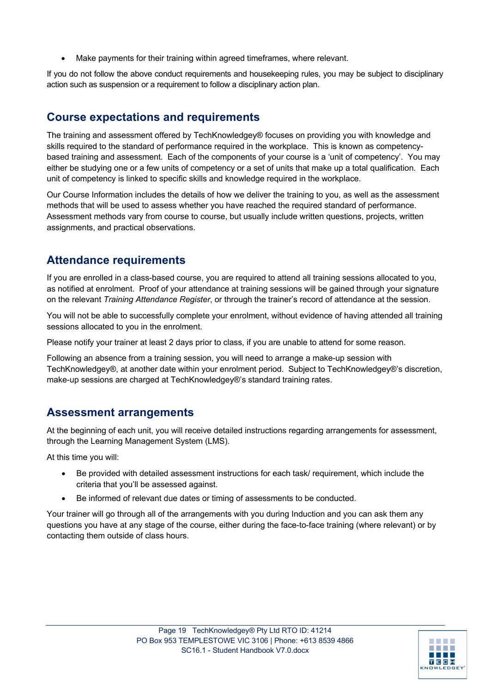Make payments for their training within agreed timeframes, where relevant.

If you do not follow the above conduct requirements and housekeeping rules, you may be subject to disciplinary action such as suspension or a requirement to follow a disciplinary action plan.

# **Course expectations and requirements**

The training and assessment offered by TechKnowledgey® focuses on providing you with knowledge and skills required to the standard of performance required in the workplace. This is known as competencybased training and assessment. Each of the components of your course is a 'unit of competency'. You may either be studying one or a few units of competency or a set of units that make up a total qualification. Each unit of competency is linked to specific skills and knowledge required in the workplace.

Our Course Information includes the details of how we deliver the training to you, as well as the assessment methods that will be used to assess whether you have reached the required standard of performance. Assessment methods vary from course to course, but usually include written questions, projects, written assignments, and practical observations.

# **Attendance requirements**

If you are enrolled in a class-based course, you are required to attend all training sessions allocated to you, as notified at enrolment. Proof of your attendance at training sessions will be gained through your signature on the relevant *Training Attendance Register*, or through the trainer's record of attendance at the session.

You will not be able to successfully complete your enrolment, without evidence of having attended all training sessions allocated to you in the enrolment.

Please notify your trainer at least 2 days prior to class, if you are unable to attend for some reason.

Following an absence from a training session, you will need to arrange a make-up session with TechKnowledgey®, at another date within your enrolment period. Subject to TechKnowledgey®'s discretion, make-up sessions are charged at TechKnowledgey®'s standard training rates.

## **Assessment arrangements**

At the beginning of each unit, you will receive detailed instructions regarding arrangements for assessment, through the Learning Management System (LMS).

At this time you will:

- Be provided with detailed assessment instructions for each task/ requirement, which include the criteria that you'll be assessed against.
- Be informed of relevant due dates or timing of assessments to be conducted.

Your trainer will go through all of the arrangements with you during Induction and you can ask them any questions you have at any stage of the course, either during the face-to-face training (where relevant) or by contacting them outside of class hours.

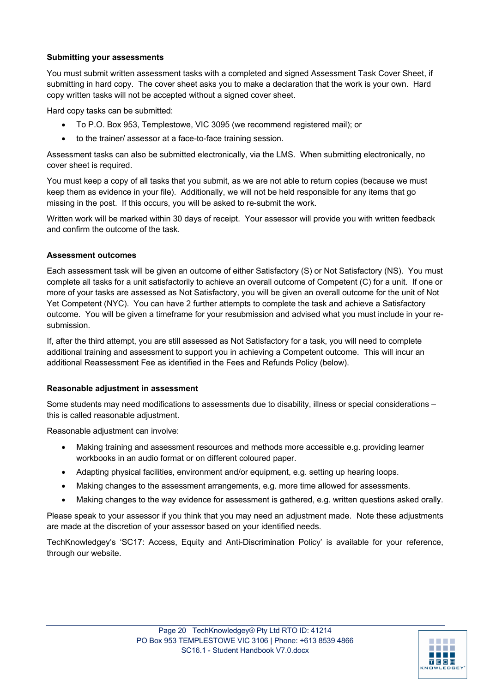### **Submitting your assessments**

You must submit written assessment tasks with a completed and signed Assessment Task Cover Sheet, if submitting in hard copy. The cover sheet asks you to make a declaration that the work is your own. Hard copy written tasks will not be accepted without a signed cover sheet.

Hard copy tasks can be submitted:

- To P.O. Box 953, Templestowe, VIC 3095 (we recommend registered mail); or
- to the trainer/ assessor at a face-to-face training session.

Assessment tasks can also be submitted electronically, via the LMS. When submitting electronically, no cover sheet is required.

You must keep a copy of all tasks that you submit, as we are not able to return copies (because we must keep them as evidence in your file). Additionally, we will not be held responsible for any items that go missing in the post. If this occurs, you will be asked to re-submit the work.

Written work will be marked within 30 days of receipt. Your assessor will provide you with written feedback and confirm the outcome of the task.

### **Assessment outcomes**

Each assessment task will be given an outcome of either Satisfactory (S) or Not Satisfactory (NS). You must complete all tasks for a unit satisfactorily to achieve an overall outcome of Competent (C) for a unit. If one or more of your tasks are assessed as Not Satisfactory, you will be given an overall outcome for the unit of Not Yet Competent (NYC). You can have 2 further attempts to complete the task and achieve a Satisfactory outcome. You will be given a timeframe for your resubmission and advised what you must include in your resubmission.

If, after the third attempt, you are still assessed as Not Satisfactory for a task, you will need to complete additional training and assessment to support you in achieving a Competent outcome. This will incur an additional Reassessment Fee as identified in the Fees and Refunds Policy (below).

### **Reasonable adjustment in assessment**

Some students may need modifications to assessments due to disability, illness or special considerations this is called reasonable adjustment.

Reasonable adjustment can involve:

- Making training and assessment resources and methods more accessible e.g. providing learner workbooks in an audio format or on different coloured paper.
- Adapting physical facilities, environment and/or equipment, e.g. setting up hearing loops.
- Making changes to the assessment arrangements, e.g. more time allowed for assessments.
- Making changes to the way evidence for assessment is gathered, e.g. written questions asked orally.

Please speak to your assessor if you think that you may need an adjustment made. Note these adjustments are made at the discretion of your assessor based on your identified needs.

TechKnowledgey's 'SC17: Access, Equity and Anti-Discrimination Policy' is available for your reference, through our website.

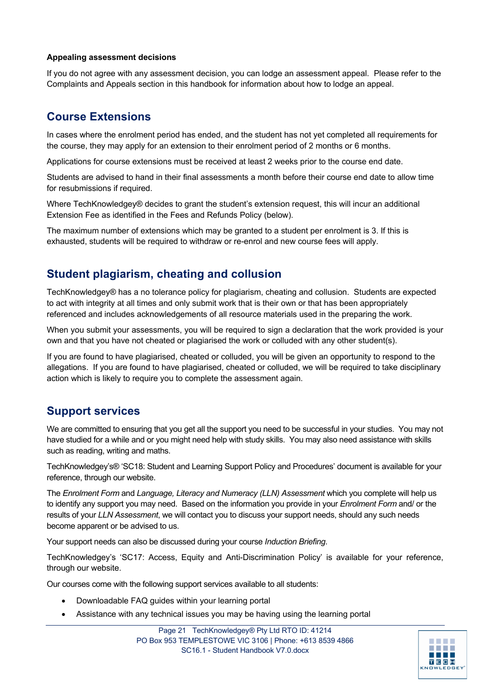#### **Appealing assessment decisions**

If you do not agree with any assessment decision, you can lodge an assessment appeal. Please refer to the Complaints and Appeals section in this handbook for information about how to lodge an appeal.

## **Course Extensions**

In cases where the enrolment period has ended, and the student has not yet completed all requirements for the course, they may apply for an extension to their enrolment period of 2 months or 6 months.

Applications for course extensions must be received at least 2 weeks prior to the course end date.

Students are advised to hand in their final assessments a month before their course end date to allow time for resubmissions if required.

Where TechKnowledgey® decides to grant the student's extension request, this will incur an additional Extension Fee as identified in the Fees and Refunds Policy (below).

The maximum number of extensions which may be granted to a student per enrolment is 3. If this is exhausted, students will be required to withdraw or re-enrol and new course fees will apply.

# **Student plagiarism, cheating and collusion**

TechKnowledgey® has a no tolerance policy for plagiarism, cheating and collusion. Students are expected to act with integrity at all times and only submit work that is their own or that has been appropriately referenced and includes acknowledgements of all resource materials used in the preparing the work.

When you submit your assessments, you will be required to sign a declaration that the work provided is your own and that you have not cheated or plagiarised the work or colluded with any other student(s).

If you are found to have plagiarised, cheated or colluded, you will be given an opportunity to respond to the allegations. If you are found to have plagiarised, cheated or colluded, we will be required to take disciplinary action which is likely to require you to complete the assessment again.

# **Support services**

We are committed to ensuring that you get all the support you need to be successful in your studies. You may not have studied for a while and or you might need help with study skills. You may also need assistance with skills such as reading, writing and maths.

TechKnowledgey's® 'SC18: Student and Learning Support Policy and Procedures' document is available for your reference, through our website.

The *Enrolment Form* and *Language, Literacy and Numeracy (LLN) Assessment* which you complete will help us to identify any support you may need. Based on the information you provide in your *Enrolment Form* and/ or the results of your *LLN Assessment*, we will contact you to discuss your support needs, should any such needs become apparent or be advised to us.

Your support needs can also be discussed during your course *Induction Briefing*.

TechKnowledgey's 'SC17: Access, Equity and Anti-Discrimination Policy' is available for your reference, through our website.

Our courses come with the following support services available to all students:

- Downloadable FAQ guides within your learning portal
- Assistance with any technical issues you may be having using the learning portal

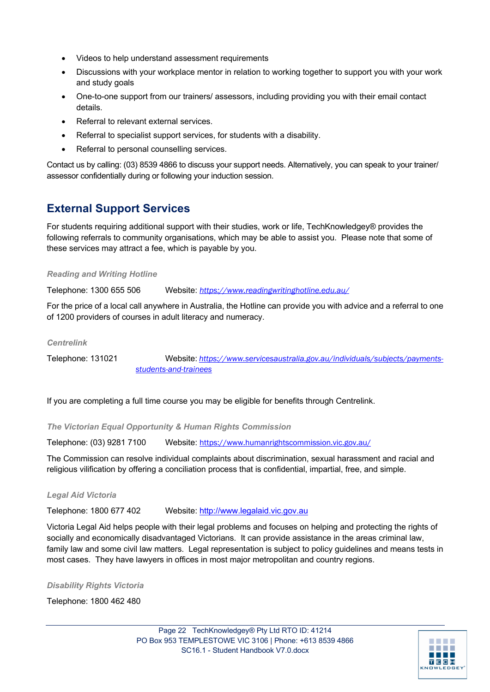- Videos to help understand assessment requirements
- Discussions with your workplace mentor in relation to working together to support you with your work and study goals
- One-to-one support from our trainers/ assessors, including providing you with their email contact details.
- Referral to relevant external services.
- Referral to specialist support services, for students with a disability.
- Referral to personal counselling services.

Contact us by calling: (03) 8539 4866 to discuss your support needs. Alternatively, you can speak to your trainer/ assessor confidentially during or following your induction session.

# **External Support Services**

For students requiring additional support with their studies, work or life, TechKnowledgey® provides the following referrals to community organisations, which may be able to assist you. Please note that some of these services may attract a fee, which is payable by you.

#### *Reading and Writing Hotline*

Telephone: 1300 655 506 Website: *https://www.readingwritinghotline.edu.au/*

For the price of a local call anywhere in Australia, the Hotline can provide you with advice and a referral to one of 1200 providers of courses in adult literacy and numeracy.

#### *Centrelink*

Telephone: 131021 Website: *https://www.servicesaustralia.gov.au/individuals/subjects/paymentsstudents-and-trainees*

If you are completing a full time course you may be eligible for benefits through Centrelink.

*The Victorian Equal Opportunity & Human Rights Commission*

Telephone: (03) 9281 7100 Website: https://www.humanrightscommission.vic.gov.au/

The Commission can resolve individual complaints about discrimination, sexual harassment and racial and religious vilification by offering a conciliation process that is confidential, impartial, free, and simple.

### *Legal Aid Victoria*

Telephone: 1800 677 402 Website: http://www.legalaid.vic.gov.au

Victoria Legal Aid helps people with their legal problems and focuses on helping and protecting the rights of socially and economically disadvantaged Victorians. It can provide assistance in the areas criminal law, family law and some civil law matters. Legal representation is subject to policy guidelines and means tests in most cases. They have lawyers in offices in most major metropolitan and country regions.

*Disability Rights Victoria*

Telephone: 1800 462 480

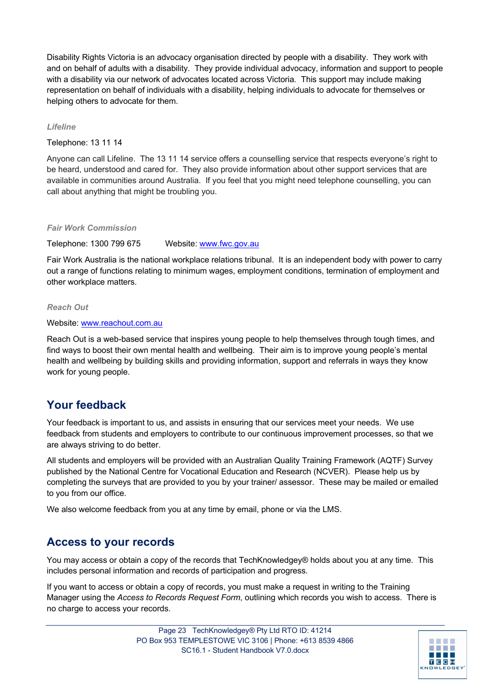Disability Rights Victoria is an advocacy organisation directed by people with a disability. They work with and on behalf of adults with a disability. They provide individual advocacy, information and support to people with a disability via our network of advocates located across Victoria. This support may include making representation on behalf of individuals with a disability, helping individuals to advocate for themselves or helping others to advocate for them.

#### *Lifeline*

Telephone: 13 11 14

Anyone can call Lifeline. The 13 11 14 service offers a counselling service that respects everyone's right to be heard, understood and cared for. They also provide information about other support services that are available in communities around Australia. If you feel that you might need telephone counselling, you can call about anything that might be troubling you.

#### *Fair Work Commission*

Telephone: 1300 799 675 Website: www.fwc.gov.au

Fair Work Australia is the national workplace relations tribunal. It is an independent body with power to carry out a range of functions relating to minimum wages, employment conditions, termination of employment and other workplace matters.

#### *Reach Out*

Website: www.reachout.com.au

Reach Out is a web-based service that inspires young people to help themselves through tough times, and find ways to boost their own mental health and wellbeing. Their aim is to improve young people's mental health and wellbeing by building skills and providing information, support and referrals in ways they know work for young people.

## **Your feedback**

Your feedback is important to us, and assists in ensuring that our services meet your needs. We use feedback from students and employers to contribute to our continuous improvement processes, so that we are always striving to do better.

All students and employers will be provided with an Australian Quality Training Framework (AQTF) Survey published by the National Centre for Vocational Education and Research (NCVER). Please help us by completing the surveys that are provided to you by your trainer/ assessor. These may be mailed or emailed to you from our office.

We also welcome feedback from you at any time by email, phone or via the LMS.

### **Access to your records**

You may access or obtain a copy of the records that TechKnowledgey® holds about you at any time. This includes personal information and records of participation and progress.

If you want to access or obtain a copy of records, you must make a request in writing to the Training Manager using the *Access to Records Request Form*, outlining which records you wish to access. There is no charge to access your records.

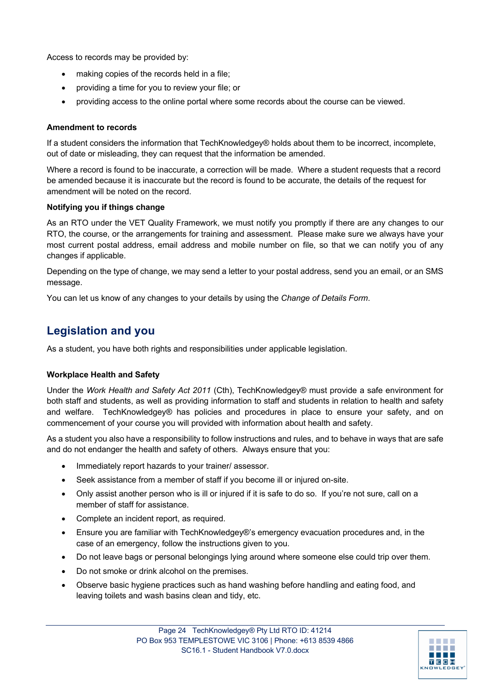Access to records may be provided by:

- making copies of the records held in a file;
- providing a time for you to review your file; or
- providing access to the online portal where some records about the course can be viewed.

#### **Amendment to records**

If a student considers the information that TechKnowledgey® holds about them to be incorrect, incomplete, out of date or misleading, they can request that the information be amended.

Where a record is found to be inaccurate, a correction will be made. Where a student requests that a record be amended because it is inaccurate but the record is found to be accurate, the details of the request for amendment will be noted on the record.

#### **Notifying you if things change**

As an RTO under the VET Quality Framework, we must notify you promptly if there are any changes to our RTO, the course, or the arrangements for training and assessment. Please make sure we always have your most current postal address, email address and mobile number on file, so that we can notify you of any changes if applicable.

Depending on the type of change, we may send a letter to your postal address, send you an email, or an SMS message.

You can let us know of any changes to your details by using the *Change of Details Form*.

## **Legislation and you**

As a student, you have both rights and responsibilities under applicable legislation.

### **Workplace Health and Safety**

Under the *Work Health and Safety Act 2011* (Cth), TechKnowledgey® must provide a safe environment for both staff and students, as well as providing information to staff and students in relation to health and safety and welfare. TechKnowledgey® has policies and procedures in place to ensure your safety, and on commencement of your course you will provided with information about health and safety.

As a student you also have a responsibility to follow instructions and rules, and to behave in ways that are safe and do not endanger the health and safety of others. Always ensure that you:

- Immediately report hazards to your trainer/ assessor.
- Seek assistance from a member of staff if you become ill or injured on-site.
- Only assist another person who is ill or injured if it is safe to do so. If you're not sure, call on a member of staff for assistance.
- Complete an incident report, as required.
- Ensure you are familiar with TechKnowledgey®'s emergency evacuation procedures and, in the case of an emergency, follow the instructions given to you.
- Do not leave bags or personal belongings lying around where someone else could trip over them.
- Do not smoke or drink alcohol on the premises.
- Observe basic hygiene practices such as hand washing before handling and eating food, and leaving toilets and wash basins clean and tidy, etc.

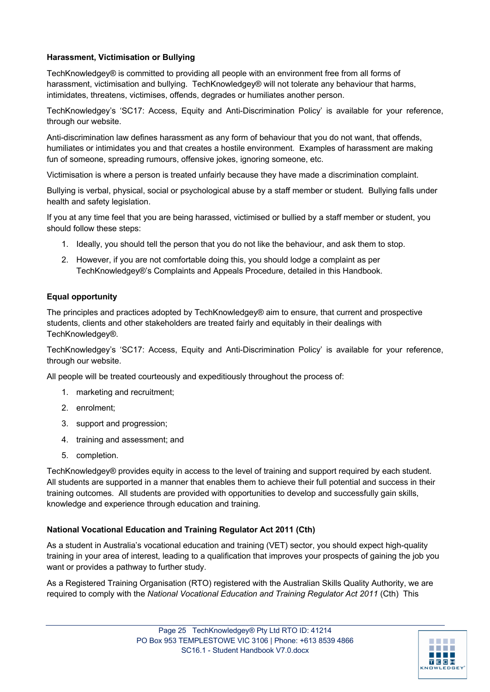### **Harassment, Victimisation or Bullying**

TechKnowledgey® is committed to providing all people with an environment free from all forms of harassment, victimisation and bullying. TechKnowledgey® will not tolerate any behaviour that harms, intimidates, threatens, victimises, offends, degrades or humiliates another person.

TechKnowledgey's 'SC17: Access, Equity and Anti-Discrimination Policy' is available for your reference, through our website.

Anti-discrimination law defines harassment as any form of behaviour that you do not want, that offends, humiliates or intimidates you and that creates a hostile environment. Examples of harassment are making fun of someone, spreading rumours, offensive jokes, ignoring someone, etc.

Victimisation is where a person is treated unfairly because they have made a discrimination complaint.

Bullying is verbal, physical, social or psychological abuse by a staff member or student. Bullying falls under health and safety legislation.

If you at any time feel that you are being harassed, victimised or bullied by a staff member or student, you should follow these steps:

- 1. Ideally, you should tell the person that you do not like the behaviour, and ask them to stop.
- 2. However, if you are not comfortable doing this, you should lodge a complaint as per TechKnowledgey®'s Complaints and Appeals Procedure, detailed in this Handbook.

### **Equal opportunity**

The principles and practices adopted by TechKnowledgey® aim to ensure, that current and prospective students, clients and other stakeholders are treated fairly and equitably in their dealings with TechKnowledgey®.

TechKnowledgey's 'SC17: Access, Equity and Anti-Discrimination Policy' is available for your reference, through our website.

All people will be treated courteously and expeditiously throughout the process of:

- 1. marketing and recruitment;
- 2. enrolment;
- 3. support and progression;
- 4. training and assessment; and
- 5. completion.

TechKnowledgey® provides equity in access to the level of training and support required by each student. All students are supported in a manner that enables them to achieve their full potential and success in their training outcomes. All students are provided with opportunities to develop and successfully gain skills, knowledge and experience through education and training.

### **National Vocational Education and Training Regulator Act 2011 (Cth)**

As a student in Australia's vocational education and training (VET) sector, you should expect high-quality training in your area of interest, leading to a qualification that improves your prospects of gaining the job you want or provides a pathway to further study.

As a Registered Training Organisation (RTO) registered with the Australian Skills Quality Authority, we are required to comply with the *National Vocational Education and Training Regulator Act 2011* (Cth) This

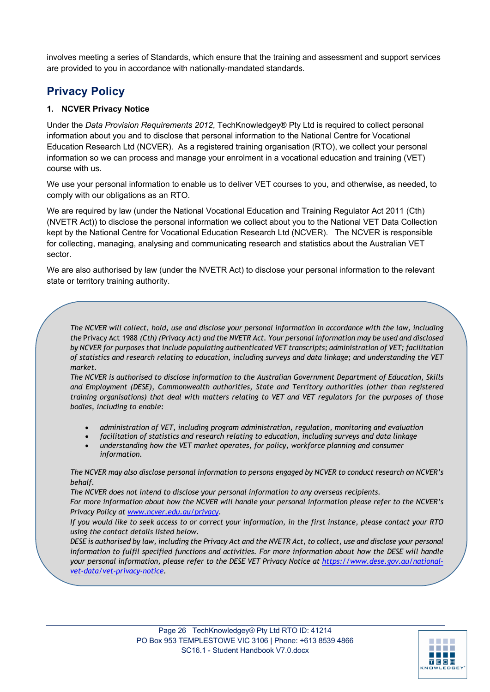involves meeting a series of Standards, which ensure that the training and assessment and support services are provided to you in accordance with nationally-mandated standards.

## **Privacy Policy**

### **1. NCVER Privacy Notice**

Under the *Data Provision Requirements 2012*, TechKnowledgey® Pty Ltd is required to collect personal information about you and to disclose that personal information to the National Centre for Vocational Education Research Ltd (NCVER). As a registered training organisation (RTO), we collect your personal information so we can process and manage your enrolment in a vocational education and training (VET) course with us.

We use your personal information to enable us to deliver VET courses to you, and otherwise, as needed, to comply with our obligations as an RTO.

We are required by law (under the National Vocational Education and Training Regulator Act 2011 (Cth) (NVETR Act)) to disclose the personal information we collect about you to the National VET Data Collection kept by the National Centre for Vocational Education Research Ltd (NCVER). The NCVER is responsible for collecting, managing, analysing and communicating research and statistics about the Australian VET sector.

We are also authorised by law (under the NVETR Act) to disclose your personal information to the relevant state or territory training authority.

*The NCVER will collect, hold, use and disclose your personal information in accordance with the law, including the* Privacy Act 1988 *(Cth) (Privacy Act) and the NVETR Act. Your personal information may be used and disclosed by NCVER for purposes that include populating authenticated VET transcripts; administration of VET; facilitation of statistics and research relating to education, including surveys and data linkage; and understanding the VET market.*

*The NCVER is authorised to disclose information to the Australian Government Department of Education, Skills and Employment (DESE), Commonwealth authorities, State and Territory authorities (other than registered training organisations) that deal with matters relating to VET and VET regulators for the purposes of those bodies, including to enable:*

- *administration of VET, including program administration, regulation, monitoring and evaluation*
- *facilitation of statistics and research relating to education, including surveys and data linkage*
- *understanding how the VET market operates, for policy, workforce planning and consumer information.*

*The NCVER may also disclose personal information to persons engaged by NCVER to conduct research on NCVER's behalf.*

*The NCVER does not intend to disclose your personal information to any overseas recipients. For more information about how the NCVER will handle your personal information please refer to the NCVER's Privacy Policy at www.ncver.edu.au/privacy.*

*If you would like to seek access to or correct your information, in the first instance, please contact your RTO using the contact details listed below.*

*DESE is authorised by law, including the Privacy Act and the NVETR Act, to collect, use and disclose your personal information to fulfil specified functions and activities. For more information about how the DESE will handle your personal information, please refer to the DESE VET Privacy Notice at https://www.dese.gov.au/nationalvet-data/vet-privacy-notice.*

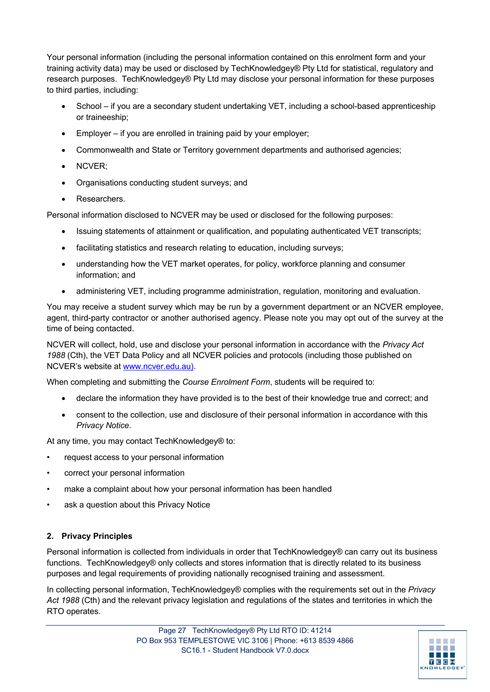Your personal information (including the personal information contained on this enrolment form and your training activity data) may be used or disclosed by TechKnowledgey® Pty Ltd for statistical, regulatory and research purposes. TechKnowledgey® Pty Ltd may disclose your personal information for these purposes to third parties, including:

- School if you are a secondary student undertaking VET, including a school-based apprenticeship or traineeship;
- Employer if you are enrolled in training paid by your employer;
- Commonwealth and State or Territory government departments and authorised agencies;
- NCVER;
- Organisations conducting student surveys; and
- Researchers.

Personal information disclosed to NCVER may be used or disclosed for the following purposes:

- Issuing statements of attainment or qualification, and populating authenticated VET transcripts;
- facilitating statistics and research relating to education, including surveys;
- understanding how the VET market operates, for policy, workforce planning and consumer information; and
- administering VET, including programme administration, regulation, monitoring and evaluation.

You may receive a student survey which may be run by a government department or an NCVER employee, agent, third-party contractor or another authorised agency. Please note you may opt out of the survey at the time of being contacted.

NCVER will collect, hold, use and disclose your personal information in accordance with the *Privacy Act 1988* (Cth), the VET Data Policy and all NCVER policies and protocols (including those published on NCVER's website at www.ncver.edu.au).

When completing and submitting the *Course Enrolment Form*, students will be required to:

- declare the information they have provided is to the best of their knowledge true and correct; and
- consent to the collection, use and disclosure of their personal information in accordance with this *Privacy Notice*.

At any time, you may contact TechKnowledgey® to:

- request access to your personal information
- correct your personal information
- make a complaint about how your personal information has been handled
- ask a question about this Privacy Notice

### **2. Privacy Principles**

Personal information is collected from individuals in order that TechKnowledgey® can carry out its business functions. TechKnowledgey® only collects and stores information that is directly related to its business purposes and legal requirements of providing nationally recognised training and assessment.

In collecting personal information, TechKnowledgey® complies with the requirements set out in the *Privacy Act 1988* (Cth) and the relevant privacy legislation and regulations of the states and territories in which the RTO operates.

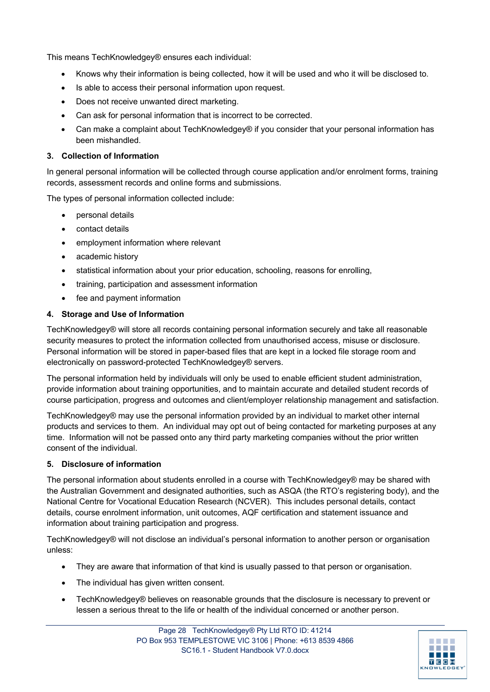This means TechKnowledgey® ensures each individual:

- Knows why their information is being collected, how it will be used and who it will be disclosed to.
- Is able to access their personal information upon request.
- Does not receive unwanted direct marketing.
- Can ask for personal information that is incorrect to be corrected.
- Can make a complaint about TechKnowledgey® if you consider that your personal information has been mishandled.

### **3. Collection of Information**

In general personal information will be collected through course application and/or enrolment forms, training records, assessment records and online forms and submissions.

The types of personal information collected include:

- personal details
- contact details
- employment information where relevant
- academic history
- statistical information about your prior education, schooling, reasons for enrolling,
- training, participation and assessment information
- fee and payment information

### **4. Storage and Use of Information**

TechKnowledgey® will store all records containing personal information securely and take all reasonable security measures to protect the information collected from unauthorised access, misuse or disclosure. Personal information will be stored in paper-based files that are kept in a locked file storage room and electronically on password-protected TechKnowledgey® servers.

The personal information held by individuals will only be used to enable efficient student administration, provide information about training opportunities, and to maintain accurate and detailed student records of course participation, progress and outcomes and client/employer relationship management and satisfaction.

TechKnowledgey® may use the personal information provided by an individual to market other internal products and services to them. An individual may opt out of being contacted for marketing purposes at any time. Information will not be passed onto any third party marketing companies without the prior written consent of the individual.

### **5. Disclosure of information**

The personal information about students enrolled in a course with TechKnowledgey® may be shared with the Australian Government and designated authorities, such as ASQA (the RTO's registering body), and the National Centre for Vocational Education Research (NCVER). This includes personal details, contact details, course enrolment information, unit outcomes, AQF certification and statement issuance and information about training participation and progress.

TechKnowledgey® will not disclose an individual's personal information to another person or organisation unless:

- They are aware that information of that kind is usually passed to that person or organisation.
- The individual has given written consent.
- TechKnowledgey® believes on reasonable grounds that the disclosure is necessary to prevent or lessen a serious threat to the life or health of the individual concerned or another person.

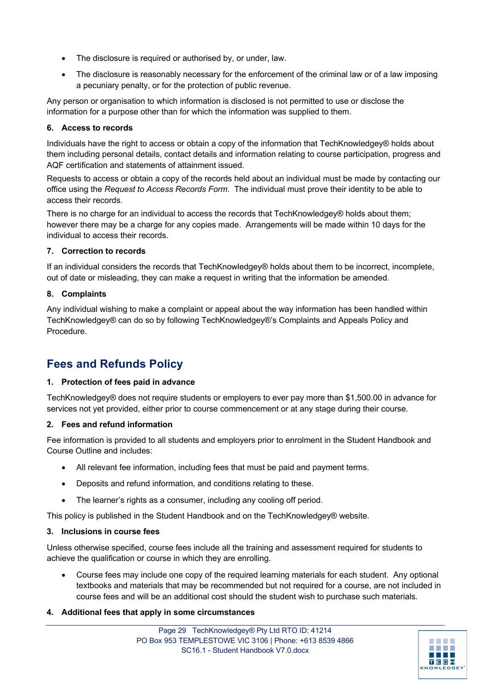- The disclosure is required or authorised by, or under, law.
- The disclosure is reasonably necessary for the enforcement of the criminal law or of a law imposing a pecuniary penalty, or for the protection of public revenue.

Any person or organisation to which information is disclosed is not permitted to use or disclose the information for a purpose other than for which the information was supplied to them.

### **6. Access to records**

Individuals have the right to access or obtain a copy of the information that TechKnowledgey® holds about them including personal details, contact details and information relating to course participation, progress and AQF certification and statements of attainment issued.

Requests to access or obtain a copy of the records held about an individual must be made by contacting our office using the *Request to Access Records Form*. The individual must prove their identity to be able to access their records.

There is no charge for an individual to access the records that TechKnowledgey® holds about them; however there may be a charge for any copies made. Arrangements will be made within 10 days for the individual to access their records.

### **7. Correction to records**

If an individual considers the records that TechKnowledgey® holds about them to be incorrect, incomplete, out of date or misleading, they can make a request in writing that the information be amended.

### **8. Complaints**

Any individual wishing to make a complaint or appeal about the way information has been handled within TechKnowledgey® can do so by following TechKnowledgey®'s Complaints and Appeals Policy and Procedure.

# **Fees and Refunds Policy**

### **1. Protection of fees paid in advance**

TechKnowledgey® does not require students or employers to ever pay more than \$1,500.00 in advance for services not yet provided, either prior to course commencement or at any stage during their course.

### **2. Fees and refund information**

Fee information is provided to all students and employers prior to enrolment in the Student Handbook and Course Outline and includes:

- All relevant fee information, including fees that must be paid and payment terms.
- Deposits and refund information, and conditions relating to these.
- The learner's rights as a consumer, including any cooling off period.

This policy is published in the Student Handbook and on the TechKnowledgey® website.

### **3. Inclusions in course fees**

Unless otherwise specified, course fees include all the training and assessment required for students to achieve the qualification or course in which they are enrolling.

• Course fees may include one copy of the required learning materials for each student. Any optional textbooks and materials that may be recommended but not required for a course, are not included in course fees and will be an additional cost should the student wish to purchase such materials.

### **4. Additional fees that apply in some circumstances**

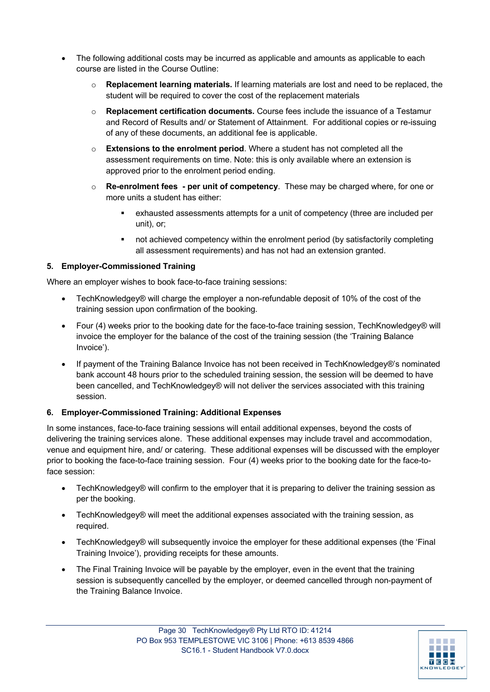- The following additional costs may be incurred as applicable and amounts as applicable to each course are listed in the Course Outline:
	- o **Replacement learning materials.** If learning materials are lost and need to be replaced, the student will be required to cover the cost of the replacement materials
	- o **Replacement certification documents.** Course fees include the issuance of a Testamur and Record of Results and/ or Statement of Attainment. For additional copies or re-issuing of any of these documents, an additional fee is applicable.
	- o **Extensions to the enrolment period**. Where a student has not completed all the assessment requirements on time. Note: this is only available where an extension is approved prior to the enrolment period ending.
	- o **Re-enrolment fees - per unit of competency**. These may be charged where, for one or more units a student has either:
		- exhausted assessments attempts for a unit of competency (three are included per unit), or;
		- not achieved competency within the enrolment period (by satisfactorily completing all assessment requirements) and has not had an extension granted.

### **5. Employer-Commissioned Training**

Where an employer wishes to book face-to-face training sessions:

- TechKnowledgey® will charge the employer a non-refundable deposit of 10% of the cost of the training session upon confirmation of the booking.
- Four (4) weeks prior to the booking date for the face-to-face training session, TechKnowledgey® will invoice the employer for the balance of the cost of the training session (the 'Training Balance Invoice').
- If payment of the Training Balance Invoice has not been received in TechKnowledgey®'s nominated bank account 48 hours prior to the scheduled training session, the session will be deemed to have been cancelled, and TechKnowledgey® will not deliver the services associated with this training session.

### **6. Employer-Commissioned Training: Additional Expenses**

In some instances, face-to-face training sessions will entail additional expenses, beyond the costs of delivering the training services alone. These additional expenses may include travel and accommodation, venue and equipment hire, and/ or catering. These additional expenses will be discussed with the employer prior to booking the face-to-face training session. Four (4) weeks prior to the booking date for the face-toface session:

- TechKnowledgey® will confirm to the employer that it is preparing to deliver the training session as per the booking.
- TechKnowledgey® will meet the additional expenses associated with the training session, as required.
- TechKnowledgey® will subsequently invoice the employer for these additional expenses (the 'Final Training Invoice'), providing receipts for these amounts.
- The Final Training Invoice will be payable by the employer, even in the event that the training session is subsequently cancelled by the employer, or deemed cancelled through non-payment of the Training Balance Invoice.

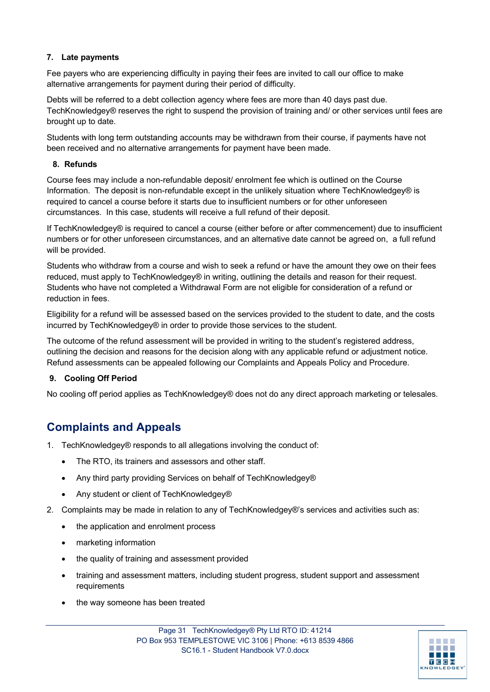### **7. Late payments**

Fee payers who are experiencing difficulty in paying their fees are invited to call our office to make alternative arrangements for payment during their period of difficulty.

Debts will be referred to a debt collection agency where fees are more than 40 days past due. TechKnowledgey® reserves the right to suspend the provision of training and/ or other services until fees are brought up to date.

Students with long term outstanding accounts may be withdrawn from their course, if payments have not been received and no alternative arrangements for payment have been made.

### **8. Refunds**

Course fees may include a non-refundable deposit/ enrolment fee which is outlined on the Course Information. The deposit is non-refundable except in the unlikely situation where TechKnowledgey® is required to cancel a course before it starts due to insufficient numbers or for other unforeseen circumstances. In this case, students will receive a full refund of their deposit.

If TechKnowledgey® is required to cancel a course (either before or after commencement) due to insufficient numbers or for other unforeseen circumstances, and an alternative date cannot be agreed on, a full refund will be provided.

Students who withdraw from a course and wish to seek a refund or have the amount they owe on their fees reduced, must apply to TechKnowledgey® in writing, outlining the details and reason for their request. Students who have not completed a Withdrawal Form are not eligible for consideration of a refund or reduction in fees.

Eligibility for a refund will be assessed based on the services provided to the student to date, and the costs incurred by TechKnowledgey® in order to provide those services to the student.

The outcome of the refund assessment will be provided in writing to the student's registered address, outlining the decision and reasons for the decision along with any applicable refund or adjustment notice. Refund assessments can be appealed following our Complaints and Appeals Policy and Procedure.

### **9. Cooling Off Period**

No cooling off period applies as TechKnowledgey® does not do any direct approach marketing or telesales.

# **Complaints and Appeals**

- 1. TechKnowledgey® responds to all allegations involving the conduct of:
	- The RTO, its trainers and assessors and other staff.
	- Any third party providing Services on behalf of TechKnowledgey®
	- Any student or client of TechKnowledgey®
- 2. Complaints may be made in relation to any of TechKnowledgey®'s services and activities such as:
	- the application and enrolment process
	- marketing information
	- the quality of training and assessment provided
	- training and assessment matters, including student progress, student support and assessment requirements
	- the way someone has been treated

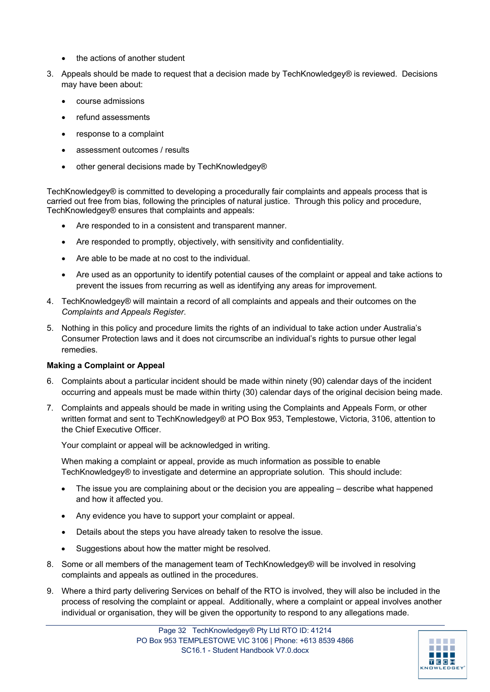- the actions of another student
- 3. Appeals should be made to request that a decision made by TechKnowledgey® is reviewed. Decisions may have been about:
	- course admissions
	- refund assessments
	- response to a complaint
	- assessment outcomes / results
	- other general decisions made by TechKnowledgey®

TechKnowledgey® is committed to developing a procedurally fair complaints and appeals process that is carried out free from bias, following the principles of natural justice. Through this policy and procedure, TechKnowledgey® ensures that complaints and appeals:

- Are responded to in a consistent and transparent manner.
- Are responded to promptly, objectively, with sensitivity and confidentiality.
- Are able to be made at no cost to the individual.
- Are used as an opportunity to identify potential causes of the complaint or appeal and take actions to prevent the issues from recurring as well as identifying any areas for improvement.
- 4. TechKnowledgey® will maintain a record of all complaints and appeals and their outcomes on the *Complaints and Appeals Register*.
- 5. Nothing in this policy and procedure limits the rights of an individual to take action under Australia's Consumer Protection laws and it does not circumscribe an individual's rights to pursue other legal remedies.

#### **Making a Complaint or Appeal**

- 6. Complaints about a particular incident should be made within ninety (90) calendar days of the incident occurring and appeals must be made within thirty (30) calendar days of the original decision being made.
- 7. Complaints and appeals should be made in writing using the Complaints and Appeals Form, or other written format and sent to TechKnowledgey® at PO Box 953, Templestowe, Victoria, 3106, attention to the Chief Executive Officer.

Your complaint or appeal will be acknowledged in writing.

When making a complaint or appeal, provide as much information as possible to enable TechKnowledgey® to investigate and determine an appropriate solution. This should include:

- The issue you are complaining about or the decision you are appealing describe what happened and how it affected you.
- Any evidence you have to support your complaint or appeal.
- Details about the steps you have already taken to resolve the issue.
- Suggestions about how the matter might be resolved.
- 8. Some or all members of the management team of TechKnowledgey® will be involved in resolving complaints and appeals as outlined in the procedures.
- 9. Where a third party delivering Services on behalf of the RTO is involved, they will also be included in the process of resolving the complaint or appeal. Additionally, where a complaint or appeal involves another individual or organisation, they will be given the opportunity to respond to any allegations made.

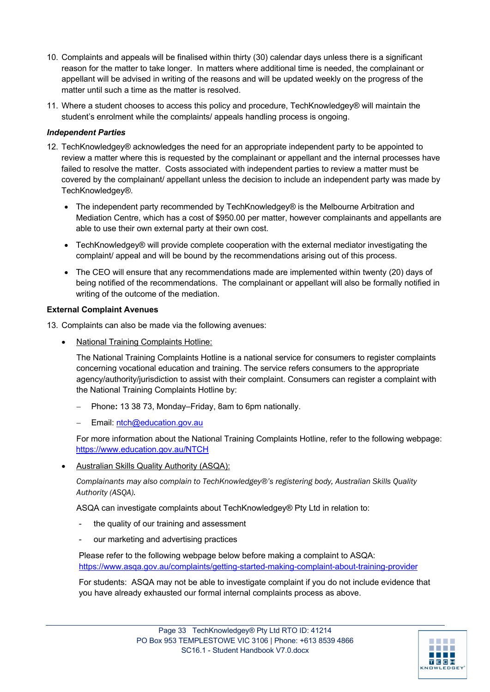- 10. Complaints and appeals will be finalised within thirty (30) calendar days unless there is a significant reason for the matter to take longer. In matters where additional time is needed, the complainant or appellant will be advised in writing of the reasons and will be updated weekly on the progress of the matter until such a time as the matter is resolved.
- 11. Where a student chooses to access this policy and procedure, TechKnowledgey® will maintain the student's enrolment while the complaints/ appeals handling process is ongoing.

#### *Independent Parties*

- 12. TechKnowledgey® acknowledges the need for an appropriate independent party to be appointed to review a matter where this is requested by the complainant or appellant and the internal processes have failed to resolve the matter. Costs associated with independent parties to review a matter must be covered by the complainant/ appellant unless the decision to include an independent party was made by TechKnowledgey®.
	- The independent party recommended by TechKnowledgey® is the Melbourne Arbitration and Mediation Centre, which has a cost of \$950.00 per matter, however complainants and appellants are able to use their own external party at their own cost.
	- TechKnowledgey® will provide complete cooperation with the external mediator investigating the complaint/ appeal and will be bound by the recommendations arising out of this process.
	- The CEO will ensure that any recommendations made are implemented within twenty (20) days of being notified of the recommendations. The complainant or appellant will also be formally notified in writing of the outcome of the mediation.

#### **External Complaint Avenues**

13. Complaints can also be made via the following avenues:

• National Training Complaints Hotline:

The National Training Complaints Hotline is a national service for consumers to register complaints concerning vocational education and training. The service refers consumers to the appropriate agency/authority/jurisdiction to assist with their complaint. Consumers can register a complaint with the National Training Complaints Hotline by:

- Phone**:** 13 38 73, Monday–Friday, 8am to 6pm nationally.
- Email: ntch@education.gov.au

For more information about the National Training Complaints Hotline, refer to the following webpage: https://www.education.gov.au/NTCH

• Australian Skills Quality Authority (ASQA):

*Complainants may also complain to TechKnowledgey®'s registering body, Australian Skills Quality Authority (ASQA).*

ASQA can investigate complaints about TechKnowledgey® Pty Ltd in relation to:

- the quality of our training and assessment
- our marketing and advertising practices

Please refer to the following webpage below before making a complaint to ASQA: https://www.asqa.gov.au/complaints/getting-started-making-complaint-about-training-provider

For students: ASQA may not be able to investigate complaint if you do not include evidence that you have already exhausted our formal internal complaints process as above.